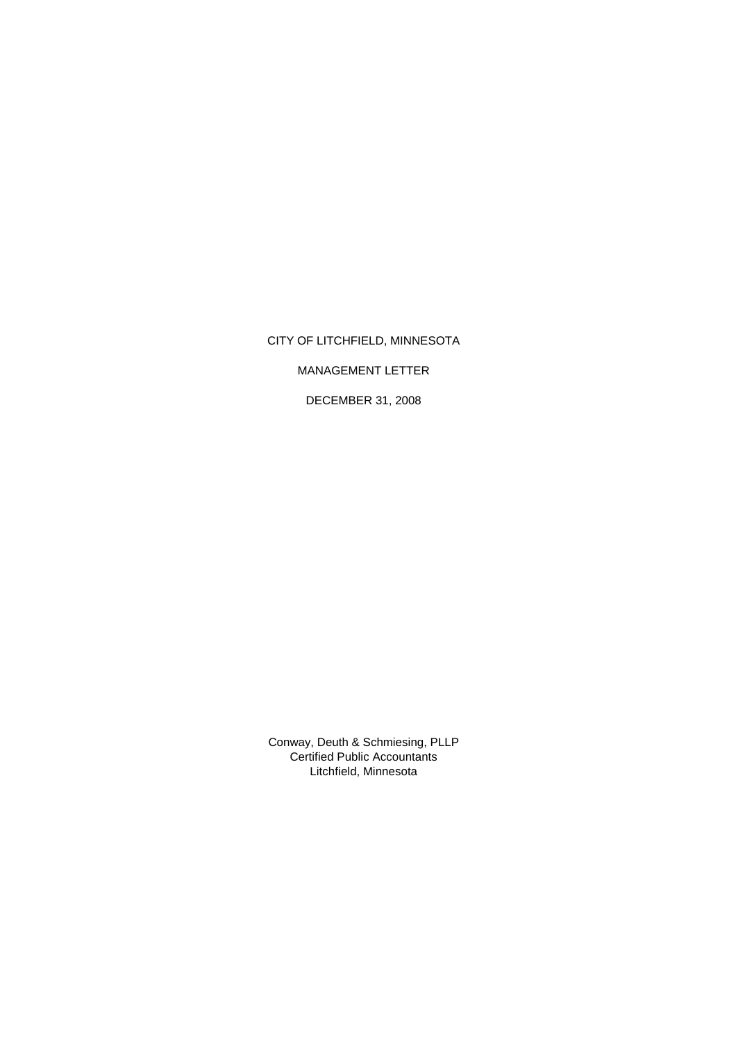# CITY OF LITCHFIELD, MINNESOTA

MANAGEMENT LETTER

DECEMBER 31, 2008

Certified Public Accountants Litchfield, Minnesota Conway, Deuth & Schmiesing, PLLP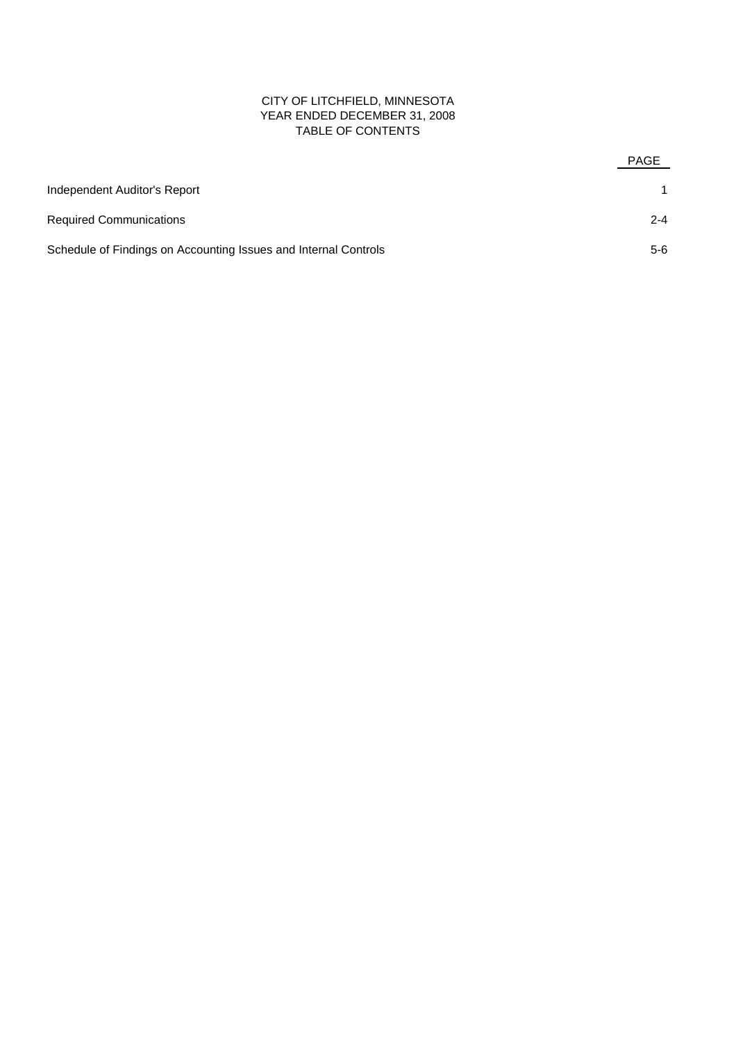## CITY OF LITCHFIELD, MINNESOTA YEAR ENDED DECEMBER 31, 2008 TABLE OF CONTENTS

|                                                                 | PAGE    |
|-----------------------------------------------------------------|---------|
| Independent Auditor's Report                                    |         |
| <b>Required Communications</b>                                  | $2 - 4$ |
| Schedule of Findings on Accounting Issues and Internal Controls | 5-6     |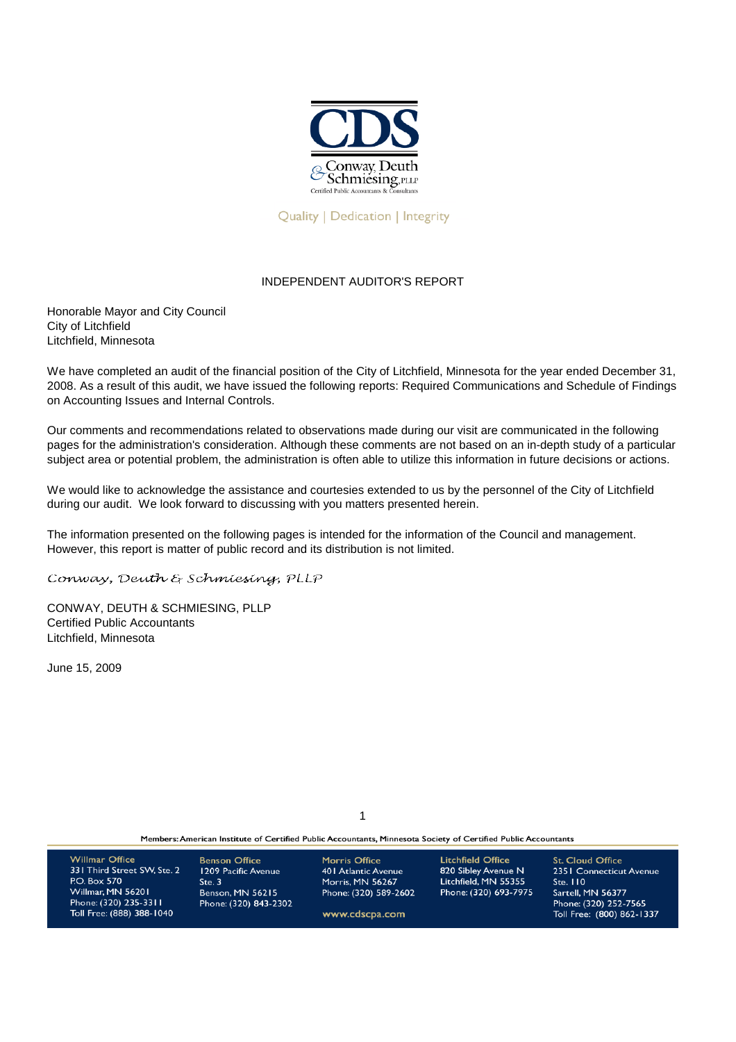

**Ouality | Dedication | Integrity** 

## INDEPENDENT AUDITOR'S REPORT

Honorable Mayor and City Council City of Litchfield Litchfield, Minnesota

We have completed an audit of the financial position of the City of Litchfield, Minnesota for the year ended December 31, 2008. As a result of this audit, we have issued the following reports: Required Communications and Schedule of Findings on Accounting Issues and Internal Controls.

Our comments and recommendations related to observations made during our visit are communicated in the following pages for the administration's consideration. Although these comments are not based on an in-depth study of a particular subject area or potential problem, the administration is often able to utilize this information in future decisions or actions.

We would like to acknowledge the assistance and courtesies extended to us by the personnel of the City of Litchfield during our audit. We look forward to discussing with you matters presented herein.

The information presented on the following pages is intended for the information of the Council and management. However, this report is matter of public record and its distribution is not limited.

Conway, Deuth & Schmiesing, PLLP

CONWAY, DEUTH & SCHMIESING, PLLP Certified Public Accountants Litchfield, Minnesota

June 15, 2009

1

Members: American Institute of Certified Public Accountants, Minnesota Society of Certified Public Accountants

| <b>Willmar Office</b><br>331 Third Street SW, Ste. 2<br><b>P.O. Box 570</b><br>Willmar, MN 56201<br>Phone: (320) 235-3311<br>Toll Free: (888) 388-1040 | <b>Benson Office</b><br>1209 Pacific Avenue<br>Ste.3<br><b>Benson, MN 56215</b><br>Phone: (320) 843-2302 | Morris Office<br>40   Atlantic Avenue<br>Morris, MN 56267<br>Phone: (320) 589-2602<br>www.cdscpa.com | Litchfield Office<br>820 Sibley Avenue N<br>Litchfield, MN 55355<br>Phone: (320) 693-7975 | <b>St. Cloud Office</b><br>2351 Connecticut Avenue<br>Ste. 110<br>Sartell, MN 56377<br>Phone: (320) 252-7565<br>Toll Free: (800) 862-1337 |
|--------------------------------------------------------------------------------------------------------------------------------------------------------|----------------------------------------------------------------------------------------------------------|------------------------------------------------------------------------------------------------------|-------------------------------------------------------------------------------------------|-------------------------------------------------------------------------------------------------------------------------------------------|
|                                                                                                                                                        |                                                                                                          |                                                                                                      |                                                                                           |                                                                                                                                           |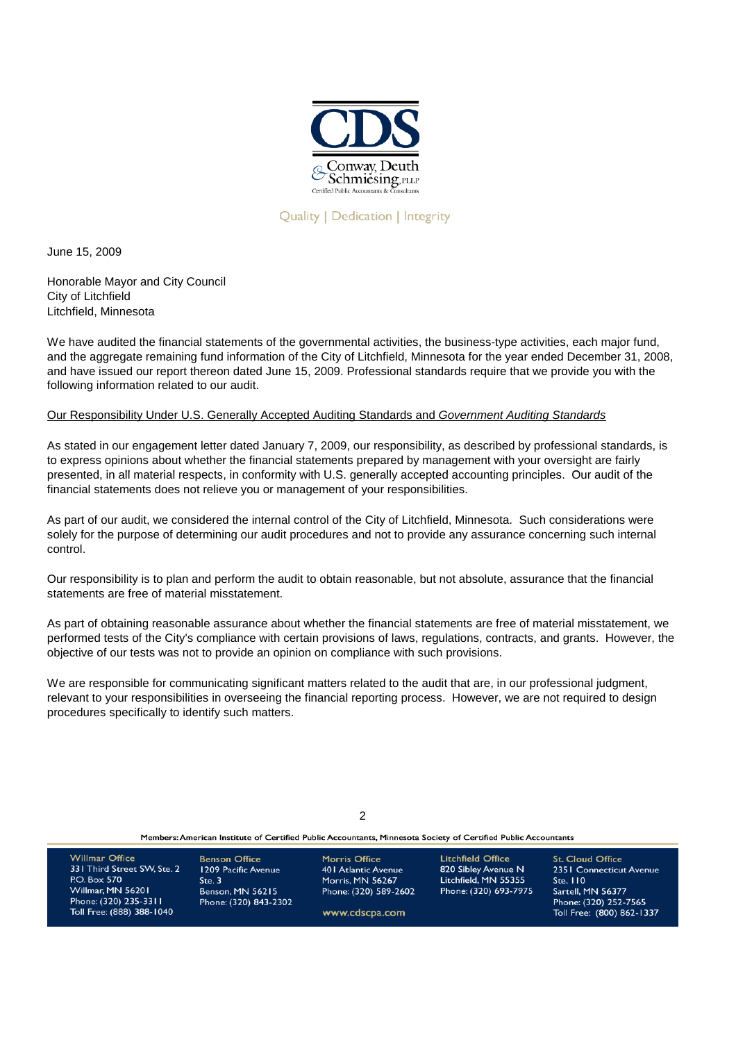

**Ouality | Dedication | Integrity** 

June 15, 2009

Honorable Mayor and City Council City of Litchfield Litchfield, Minnesota

We have audited the financial statements of the governmental activities, the business-type activities, each major fund, and the aggregate remaining fund information of the City of Litchfield, Minnesota for the year ended December 31, 2008, and have issued our report thereon dated June 15, 2009. Professional standards require that we provide you with the following information related to our audit.

## Our Responsibility Under U.S. Generally Accepted Auditing Standards and *Government Auditing Standards*

As stated in our engagement letter dated January 7, 2009, our responsibility, as described by professional standards, is to express opinions about whether the financial statements prepared by management with your oversight are fairly presented, in all material respects, in conformity with U.S. generally accepted accounting principles. Our audit of the financial statements does not relieve you or management of your responsibilities.

As part of our audit, we considered the internal control of the City of Litchfield, Minnesota. Such considerations were solely for the purpose of determining our audit procedures and not to provide any assurance concerning such internal control.

Our responsibility is to plan and perform the audit to obtain reasonable, but not absolute, assurance that the financial statements are free of material misstatement.

As part of obtaining reasonable assurance about whether the financial statements are free of material misstatement, we performed tests of the City's compliance with certain provisions of laws, regulations, contracts, and grants. However, the objective of our tests was not to provide an opinion on compliance with such provisions.

We are responsible for communicating significant matters related to the audit that are, in our professional judgment, relevant to your responsibilities in overseeing the financial reporting process. However, we are not required to design procedures specifically to identify such matters.

| Members: American Institute of Certified Public Accountants, Minnesota Society of Certified Public Accountants                                  |                                                                                                          |                                                                                                                   |                                                                                                  |                                                                                                                                           |  |  |
|-------------------------------------------------------------------------------------------------------------------------------------------------|----------------------------------------------------------------------------------------------------------|-------------------------------------------------------------------------------------------------------------------|--------------------------------------------------------------------------------------------------|-------------------------------------------------------------------------------------------------------------------------------------------|--|--|
| <b>Willmar Office</b><br>331 Third Street SW, Ste. 2<br>P.O. Box 570<br>Willmar, MN 56201<br>Phone: (320) 235-3311<br>Toll Free: (888) 388-1040 | <b>Benson Office</b><br>1209 Pacific Avenue<br>Ste.3<br><b>Benson, MN 56215</b><br>Phone: (320) 843-2302 | <b>Morris Office</b><br>401 Atlantic Avenue<br><b>Morris, MN 56267</b><br>Phone: (320) 589-2602<br>www.cdscpa.com | <b>Litchfield Office</b><br>820 Sibley Avenue N<br>Litchfield, MN 55355<br>Phone: (320) 693-7975 | <b>St. Cloud Office</b><br>2351 Connecticut Avenue<br>Ste. 110<br>Sartell, MN 56377<br>Phone: (320) 252-7565<br>Toll Free: (800) 862-1337 |  |  |

 $\mathcal{L}$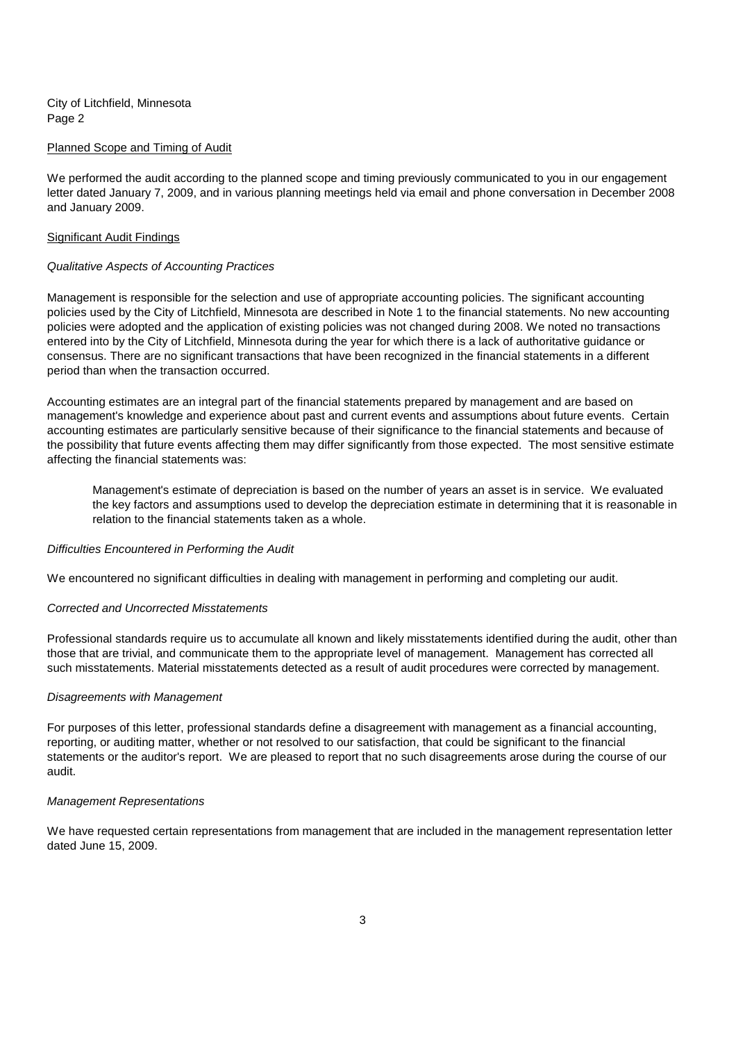City of Litchfield, Minnesota Page 2

#### Planned Scope and Timing of Audit

We performed the audit according to the planned scope and timing previously communicated to you in our engagement letter dated January 7, 2009, and in various planning meetings held via email and phone conversation in December 2008 and January 2009.

### Significant Audit Findings

### *Qualitative Aspects of Accounting Practices*

Management is responsible for the selection and use of appropriate accounting policies. The significant accounting policies used by the City of Litchfield, Minnesota are described in Note 1 to the financial statements. No new accounting policies were adopted and the application of existing policies was not changed during 2008. We noted no transactions entered into by the City of Litchfield, Minnesota during the year for which there is a lack of authoritative guidance or consensus. There are no significant transactions that have been recognized in the financial statements in a different period than when the transaction occurred.

Accounting estimates are an integral part of the financial statements prepared by management and are based on management's knowledge and experience about past and current events and assumptions about future events. Certain accounting estimates are particularly sensitive because of their significance to the financial statements and because of the possibility that future events affecting them may differ significantly from those expected. The most sensitive estimate affecting the financial statements was:

Management's estimate of depreciation is based on the number of years an asset is in service. We evaluated the key factors and assumptions used to develop the depreciation estimate in determining that it is reasonable in relation to the financial statements taken as a whole.

#### *Difficulties Encountered in Performing the Audit*

We encountered no significant difficulties in dealing with management in performing and completing our audit.

#### *Corrected and Uncorrected Misstatements*

Professional standards require us to accumulate all known and likely misstatements identified during the audit, other than those that are trivial, and communicate them to the appropriate level of management. Management has corrected all such misstatements. Material misstatements detected as a result of audit procedures were corrected by management.

#### *Disagreements with Management*

For purposes of this letter, professional standards define a disagreement with management as a financial accounting, reporting, or auditing matter, whether or not resolved to our satisfaction, that could be significant to the financial statements or the auditor's report. We are pleased to report that no such disagreements arose during the course of our audit.

#### *Management Representations*

We have requested certain representations from management that are included in the management representation letter dated June 15, 2009.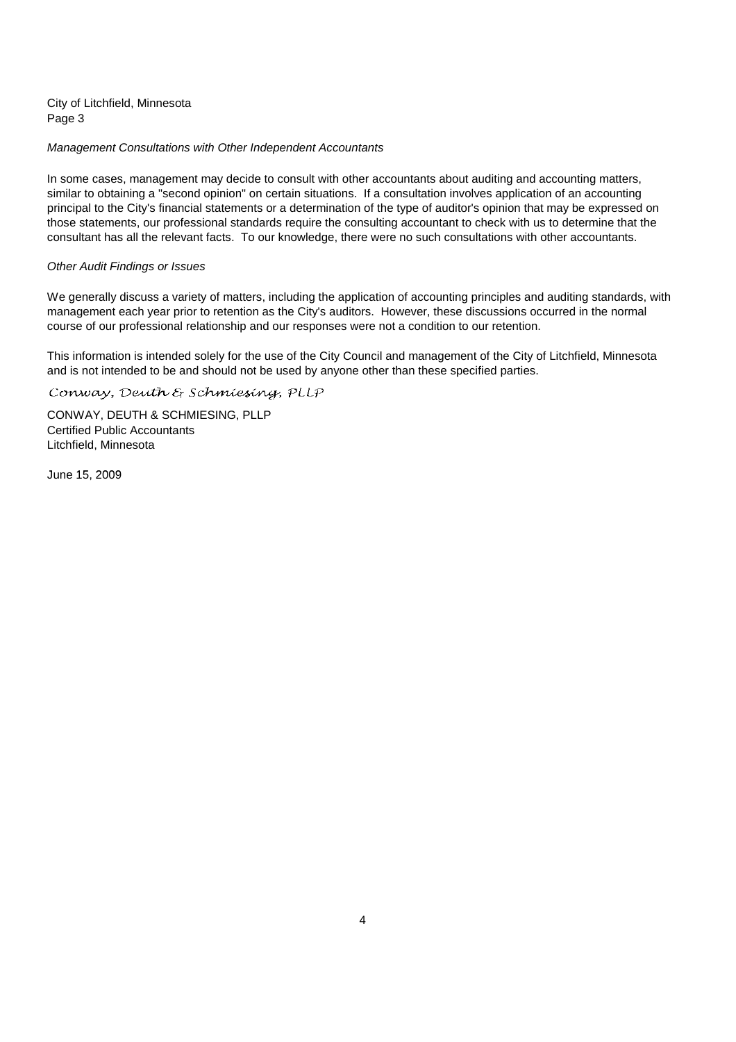City of Litchfield, Minnesota Page 3

## *Management Consultations with Other Independent Accountants*

In some cases, management may decide to consult with other accountants about auditing and accounting matters, similar to obtaining a "second opinion" on certain situations. If a consultation involves application of an accounting principal to the City's financial statements or a determination of the type of auditor's opinion that may be expressed on those statements, our professional standards require the consulting accountant to check with us to determine that the consultant has all the relevant facts. To our knowledge, there were no such consultations with other accountants.

### *Other Audit Findings or Issues*

We generally discuss a variety of matters, including the application of accounting principles and auditing standards, with management each year prior to retention as the City's auditors. However, these discussions occurred in the normal course of our professional relationship and our responses were not a condition to our retention.

This information is intended solely for the use of the City Council and management of the City of Litchfield, Minnesota and is not intended to be and should not be used by anyone other than these specified parties.

Conway, Deuth & Schmiesing, PLLP

CONWAY, DEUTH & SCHMIESING, PLLP Certified Public Accountants Litchfield, Minnesota

June 15, 2009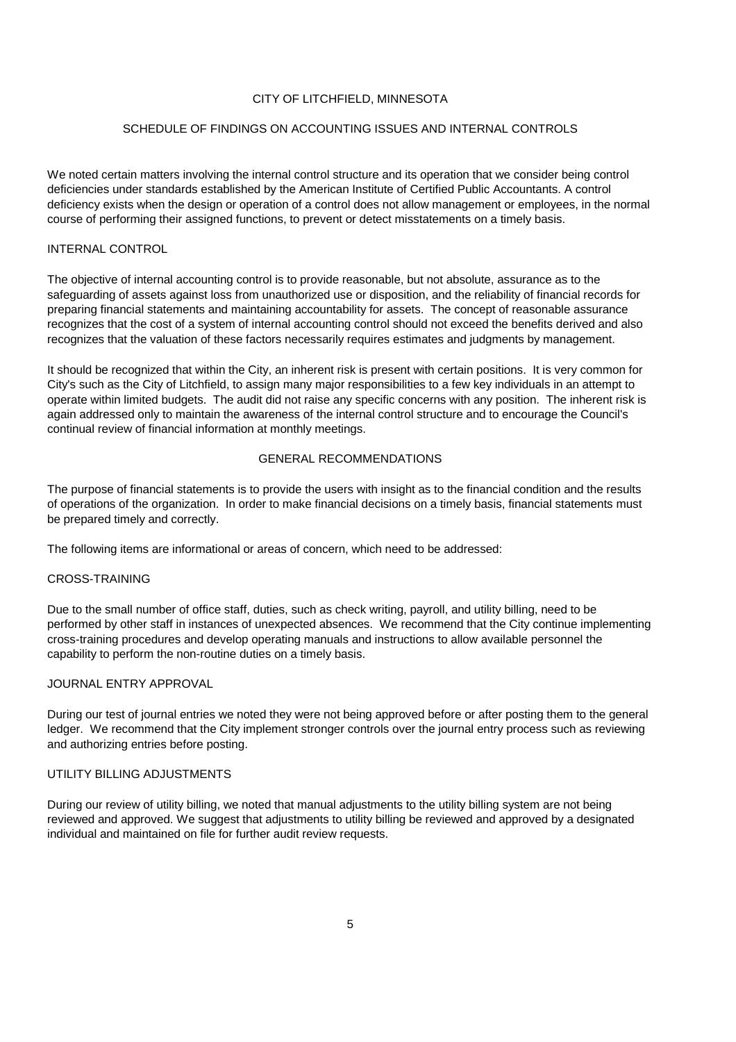## CITY OF LITCHFIELD, MINNESOTA

## SCHEDULE OF FINDINGS ON ACCOUNTING ISSUES AND INTERNAL CONTROLS

We noted certain matters involving the internal control structure and its operation that we consider being control deficiencies under standards established by the American Institute of Certified Public Accountants. A control deficiency exists when the design or operation of a control does not allow management or employees, in the normal course of performing their assigned functions, to prevent or detect misstatements on a timely basis.

## INTERNAL CONTROL

The objective of internal accounting control is to provide reasonable, but not absolute, assurance as to the safeguarding of assets against loss from unauthorized use or disposition, and the reliability of financial records for preparing financial statements and maintaining accountability for assets. The concept of reasonable assurance recognizes that the cost of a system of internal accounting control should not exceed the benefits derived and also recognizes that the valuation of these factors necessarily requires estimates and judgments by management.

It should be recognized that within the City, an inherent risk is present with certain positions. It is very common for City's such as the City of Litchfield, to assign many major responsibilities to a few key individuals in an attempt to operate within limited budgets. The audit did not raise any specific concerns with any position. The inherent risk is again addressed only to maintain the awareness of the internal control structure and to encourage the Council's continual review of financial information at monthly meetings.

## GENERAL RECOMMENDATIONS

The purpose of financial statements is to provide the users with insight as to the financial condition and the results of operations of the organization. In order to make financial decisions on a timely basis, financial statements must be prepared timely and correctly.

The following items are informational or areas of concern, which need to be addressed:

## CROSS-TRAINING

Due to the small number of office staff, duties, such as check writing, payroll, and utility billing, need to be performed by other staff in instances of unexpected absences. We recommend that the City continue implementing cross-training procedures and develop operating manuals and instructions to allow available personnel the capability to perform the non-routine duties on a timely basis.

## JOURNAL ENTRY APPROVAL

During our test of journal entries we noted they were not being approved before or after posting them to the general ledger. We recommend that the City implement stronger controls over the journal entry process such as reviewing and authorizing entries before posting.

## UTILITY BILLING ADJUSTMENTS

During our review of utility billing, we noted that manual adjustments to the utility billing system are not being reviewed and approved. We suggest that adjustments to utility billing be reviewed and approved by a designated individual and maintained on file for further audit review requests.